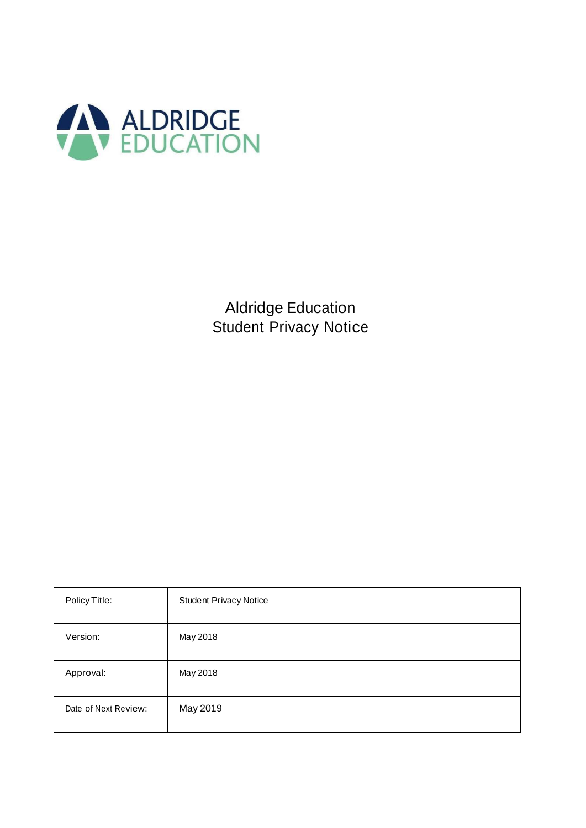

Aldridge Education Student Privacy Notice

| Policy Title:        | <b>Student Privacy Notice</b> |
|----------------------|-------------------------------|
| Version:             | May 2018                      |
| Approval:            | May 2018                      |
| Date of Next Review: | May 2019                      |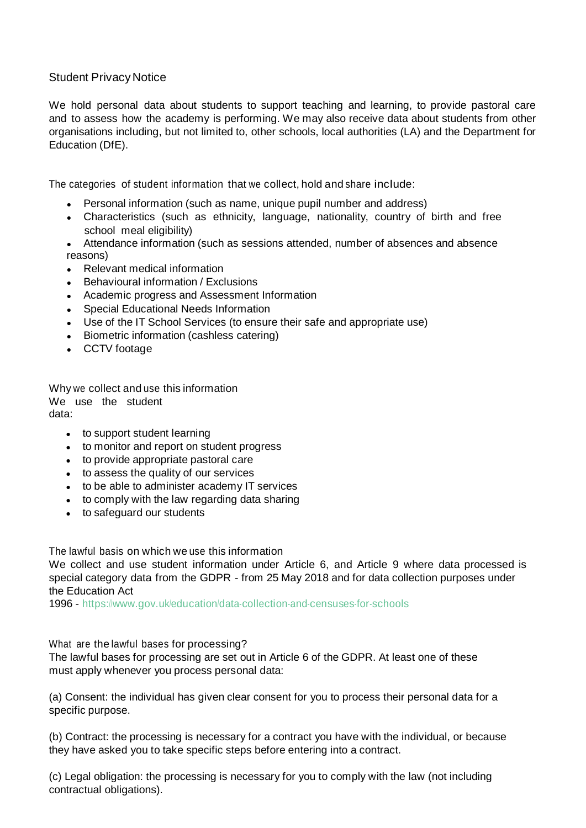# Student Privacy Notice

We hold personal data about students to support teaching and learning, to provide pastoral care and to assess how the academy is performing. We may also receive data about students from other organisations including, but not limited to, other schools, local authorities (LA) and the Department for Education (DfE).

The categories of student information that we collect, hold and share include:

- Personal information (such as name, unique pupil number and address)
- Characteristics (such as ethnicity, language, nationality, country of birth and free school meal eligibility)
- Attendance information (such as sessions attended, number of absences and absence reasons)
- **Relevant medical information**
- Behavioural information / Exclusions
- Academic progress and Assessment Information
- **Special Educational Needs Information**
- Use of the IT School Services (to ensure their safe and appropriate use)
- Biometric information (cashless catering)
- CCTV footage

Why we collect and use this information We use the student data:

- to support student learning
- to monitor and report on student progress
- to provide appropriate pastoral care
- to assess the quality of our services
- to be able to administer academy IT services
- to comply with the law regarding data sharing
- to safeguard our students

The lawful basis on which we use this information

We collect and use student information under Article 6, and Article 9 where data processed is special category data from the GDPR - from 25 May 2018 and for data collection purposes under the Education Act

1996 - https:[//www.gov.uk/education/data-collection-and-censuses-for-schools](http://www.gov.uk/education/data-collection-and-censuses-for-schools)

What are the lawful bases for processing?

The lawful bases for processing are set out in Article 6 of the GDPR. At least one of these must apply whenever you process personal data:

(a) Consent: the individual has given clear consent for you to process their personal data for a specific purpose.

(b) Contract: the processing is necessary for a contract you have with the individual, or because they have asked you to take specific steps before entering into a contract.

(c) Legal obligation: the processing is necessary for you to comply with the law (not including contractual obligations).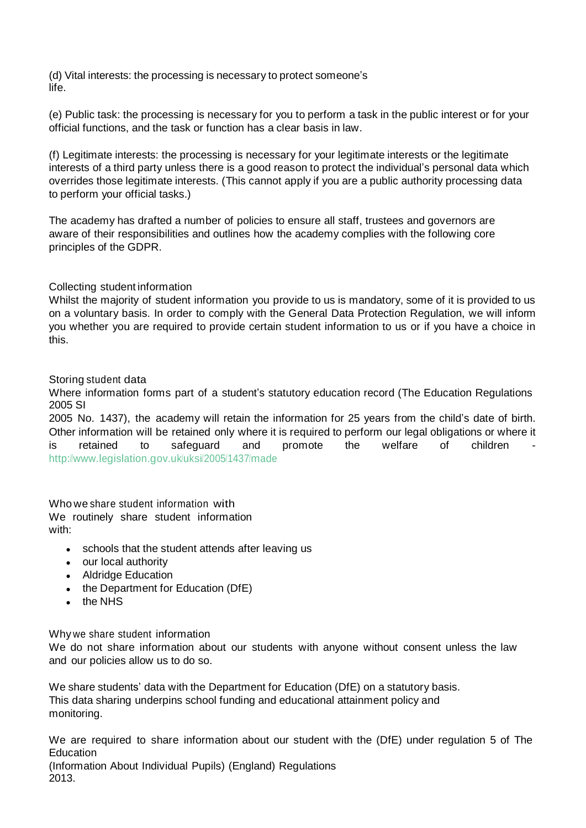(d) Vital interests: the processing is necessary to protect someone's life.

(e) Public task: the processing is necessary for you to perform a task in the public interest or for your official functions, and the task or function has a clear basis in law.

(f) Legitimate interests: the processing is necessary for your legitimate interests or the legitimate interests of a third party unless there is a good reason to protect the individual's personal data which overrides those legitimate interests. (This cannot apply if you are a public authority processing data to perform your official tasks.)

The academy has drafted a number of policies to ensure all staff, trustees and governors are aware of their responsibilities and outlines how the academy complies with the following core principles of the GDPR.

## Collecting student information

Whilst the majority of student information you provide to us is mandatory, some of it is provided to us on a voluntary basis. In order to comply with the General Data Protection Regulation, we will inform you whether you are required to provide certain student information to us or if you have a choice in this.

## Storing student data

Where information forms part of a student's statutory education record (The Education Regulations 2005 SI

2005 No. 1437), the academy will retain the information for 25 years from the child's date of birth. Other information will be retained only where it is required to perform our legal obligations or where it is retained to safeguard and promote the welfare of children <http://www.legislation.gov.uk/uksi/2005/1437/made>

Who we share student information with We routinely share student information with:

- schools that the student attends after leaving us
- our local authority
- Aldridge Education
- the Department for Education (DfE)
- $\bullet$  the NHS

Why we share student information

We do not share information about our students with anyone without consent unless the law and our policies allow us to do so.

We share students' data with the Department for Education (DfE) on a statutory basis. This data sharing underpins school funding and educational attainment policy and monitoring.

We are required to share information about our student with the (DfE) under regulation 5 of The **Education** 

(Information About Individual Pupils) (England) Regulations 2013.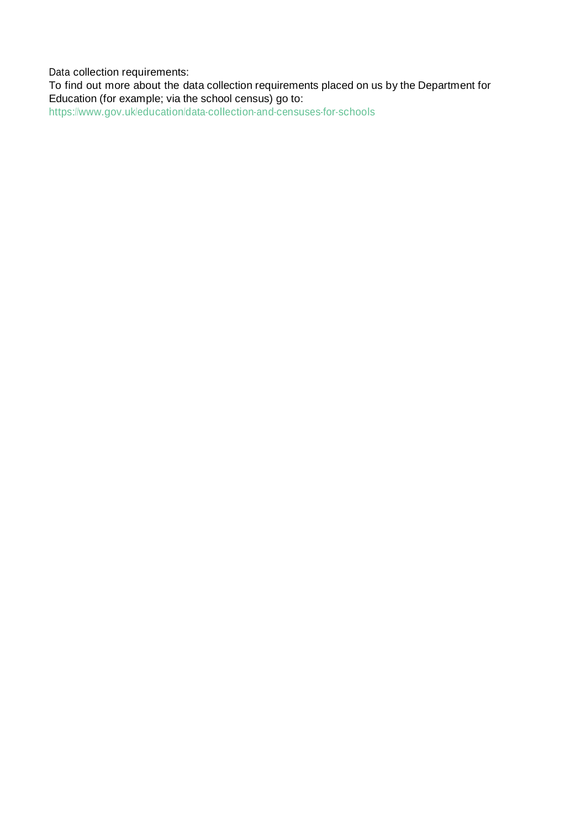Data collection requirements:

To find out more about the data collection requirements placed on us by the Department for Education (for example; via the school census) go to: <https://www.gov.uk/education/data-collection-and-censuses-for-schools>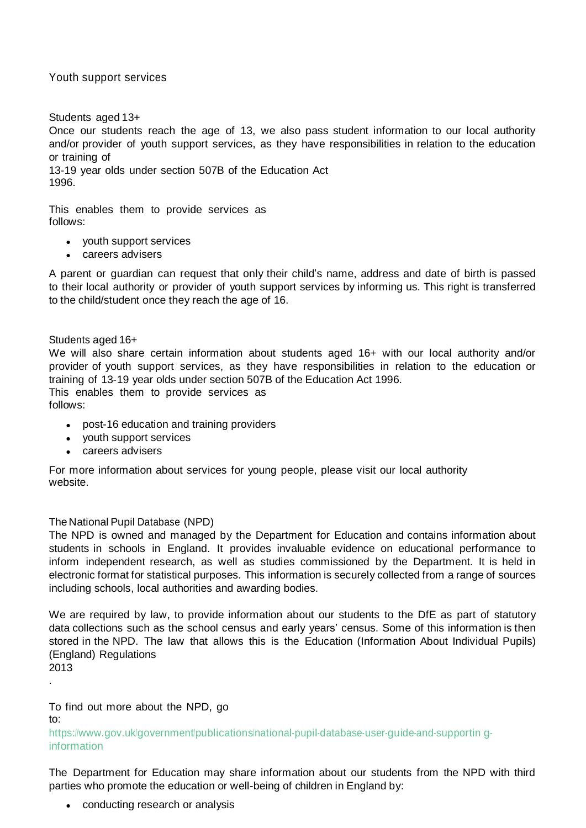# Youth support services

#### Students aged 13+

Once our students reach the age of 13, we also pass student information to our local authority and/or provider of youth support services, as they have responsibilities in relation to the education or training of

13-19 year olds under section 507B of the Education Act 1996.

This enables them to provide services as follows:

- youth support services
- careers advisers

A parent or guardian can request that only their child's name, address and date of birth is passed to their local authority or provider of youth support services by informing us. This right is transferred to the child/student once they reach the age of 16.

Students aged 16+

We will also share certain information about students aged 16+ with our local authority and/or provider of youth support services, as they have responsibilities in relation to the education or training of 13-19 year olds under section 507B of the Education Act 1996. This enables them to provide services as

follows:

- post-16 education and training providers
- youth support services
- careers advisers

For more information about services for young people, please visit our local authority website.

## The National Pupil Database (NPD)

The NPD is owned and managed by the Department for Education and contains information about students in schools in England. It provides invaluable evidence on educational performance to inform independent research, as well as studies commissioned by the Department. It is held in electronic format for statistical purposes. This information is securely collected from a range of sources including schools, local authorities and awarding bodies.

We are required by law, to provide information about our students to the DfE as part of statutory data collections such as the school census and early years' census. Some of this information is then stored in the NPD. The law that allows this is the Education (Information About Individual Pupils) (England) Regulations 2013

.

To find out more about the NPD, go to:

[https://www.gov.uk/government/publications/national-pupil-database-user-guide-and-supportin](https://www.gov.uk/government/publications/national-pupil-database-user-guide-and-supporting-information) [g](https://www.gov.uk/government/publications/national-pupil-database-user-guide-and-supporting-information)[information](https://www.gov.uk/government/publications/national-pupil-database-user-guide-and-supporting-information)

The Department for Education may share information about our students from the NPD with third parties who promote the education or well-being of children in England by:

• conducting research or analysis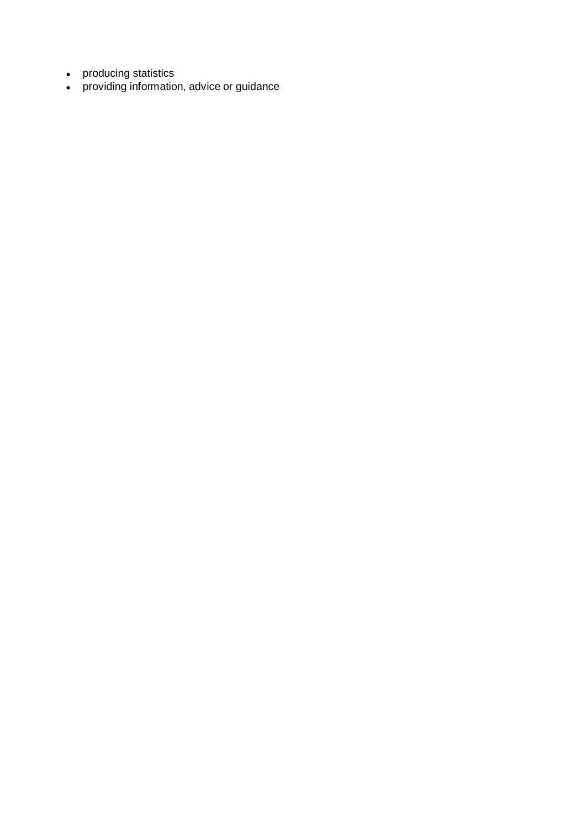- producing statistics
- providing information, advice or guidance